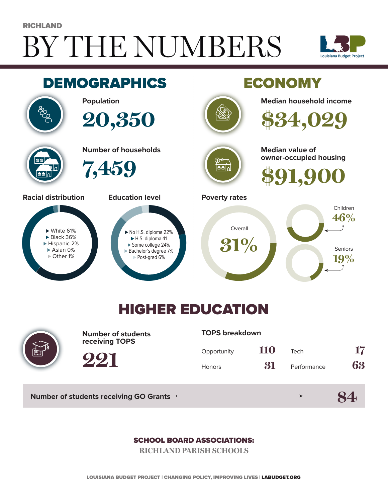# BY THE NUMBERS **RICHLAND**





## HIGHER EDUCATION



**Number of students receiving TOPS**

#### **TOPS breakdown**

| Opportunity   | 110 | Tech        | 17 |
|---------------|-----|-------------|----|
| <b>Honors</b> | 31  | Performance | 63 |

**84**

**Number of students receiving GO Grants**

**221**

#### SCHOOL BOARD ASSOCIATIONS:

**RICHLAND PARISH SCHOOLS**